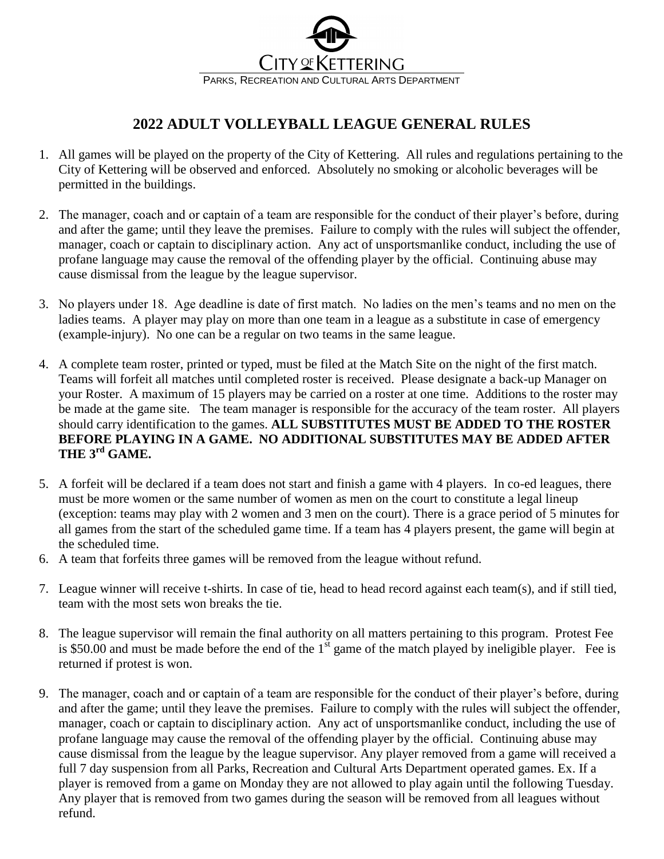

## **2022 ADULT VOLLEYBALL LEAGUE GENERAL RULES**

- 1. All games will be played on the property of the City of Kettering. All rules and regulations pertaining to the City of Kettering will be observed and enforced. Absolutely no smoking or alcoholic beverages will be permitted in the buildings.
- 2. The manager, coach and or captain of a team are responsible for the conduct of their player's before, during and after the game; until they leave the premises. Failure to comply with the rules will subject the offender, manager, coach or captain to disciplinary action. Any act of unsportsmanlike conduct, including the use of profane language may cause the removal of the offending player by the official. Continuing abuse may cause dismissal from the league by the league supervisor.
- 3. No players under 18. Age deadline is date of first match. No ladies on the men's teams and no men on the ladies teams. A player may play on more than one team in a league as a substitute in case of emergency (example-injury). No one can be a regular on two teams in the same league.
- 4. A complete team roster, printed or typed, must be filed at the Match Site on the night of the first match. Teams will forfeit all matches until completed roster is received. Please designate a back-up Manager on your Roster. A maximum of 15 players may be carried on a roster at one time. Additions to the roster may be made at the game site. The team manager is responsible for the accuracy of the team roster. All players should carry identification to the games. **ALL SUBSTITUTES MUST BE ADDED TO THE ROSTER BEFORE PLAYING IN A GAME. NO ADDITIONAL SUBSTITUTES MAY BE ADDED AFTER THE 3 rd GAME.**
- 5. A forfeit will be declared if a team does not start and finish a game with 4 players. In co-ed leagues, there must be more women or the same number of women as men on the court to constitute a legal lineup (exception: teams may play with 2 women and 3 men on the court). There is a grace period of 5 minutes for all games from the start of the scheduled game time. If a team has 4 players present, the game will begin at the scheduled time.
- 6. A team that forfeits three games will be removed from the league without refund.
- 7. League winner will receive t-shirts. In case of tie, head to head record against each team(s), and if still tied, team with the most sets won breaks the tie.
- 8. The league supervisor will remain the final authority on all matters pertaining to this program. Protest Fee is \$50.00 and must be made before the end of the  $1<sup>st</sup>$  game of the match played by ineligible player. Fee is returned if protest is won.
- 9. The manager, coach and or captain of a team are responsible for the conduct of their player's before, during and after the game; until they leave the premises. Failure to comply with the rules will subject the offender, manager, coach or captain to disciplinary action. Any act of unsportsmanlike conduct, including the use of profane language may cause the removal of the offending player by the official. Continuing abuse may cause dismissal from the league by the league supervisor. Any player removed from a game will received a full 7 day suspension from all Parks, Recreation and Cultural Arts Department operated games. Ex. If a player is removed from a game on Monday they are not allowed to play again until the following Tuesday. Any player that is removed from two games during the season will be removed from all leagues without refund.